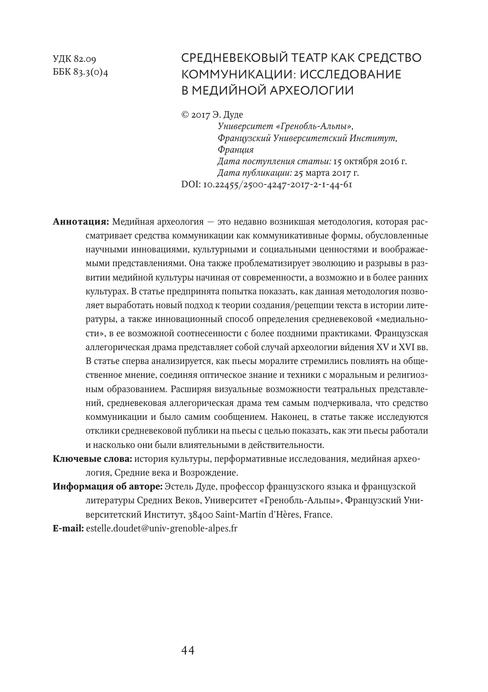УДК 82.09 ББК 83.3(0)4

# СРЕДНЕВЕКОВЫЙ ТЕАТР КАК СРЕДСТВО КОММУНИКАЦИИ: ИССЛЕДОВАНИЕ В МЕДИЙНОЙ АРХЕОЛОГИИ

© 2017 Э. Дуде

*Университет «Гренобль-Альпы», Французский Университетский Институт, Франция Дата поступления статьи:* 15 октября 2016 г. *Дата публикации:* 25 марта 2017 г. DOI: 10.22455/2500-4247-2017-2-1-44-61

**Аннотация:** Медийная археология — это недавно возникшая методология, которая рассматривает средства коммуникации как коммуникативные формы, обусловленные научными инновациями, культурными и социальными ценностями и воображаемыми представлениями. Она также проблематизирует эволюцию и разрывы в развитии медийной культуры начиная от современности, а возможно и в более ранних культурах. В статье предпринята попытка показать, как данная методология позволяет выработать новый подход к теории создания/рецепции текста в истории литературы, а также инновационный способ определения средневековой «медиальности», в ее возможной соотнесенности с более поздними практиками. Французская аллегорическая драма представляет собой случай археологии видения XV и XVI вв. В статье сперва анализируется, как пьесы моралите стремились повлиять на общественное мнение, соединяя оптическое знание и техники с моральным и религиозным образованием. Расширяя визуальные возможности театральных представлений, средневековая аллегорическая драма тем самым подчеркивала, что средство коммуникации и было самим сообщением. Наконец, в статье также исследуются отклики средневековой публики на пьесы с целью показать, как эти пьесы работали и насколько они были влиятельными в действительности.

**Ключевые слова:** история культуры, перформативные исследования, медийная археология, Средние века и Возрождение.

**Информация об авторе:** Эстель Дуде, профессор французского языка и французской литературы Средних Веков, Университет «Гренобль-Альпы», Французский Университетский Институт, 38400 Saint-Martin d'Hères, France.

**E-mail:** estelle.doudet@univ-grenoble-alpes.fr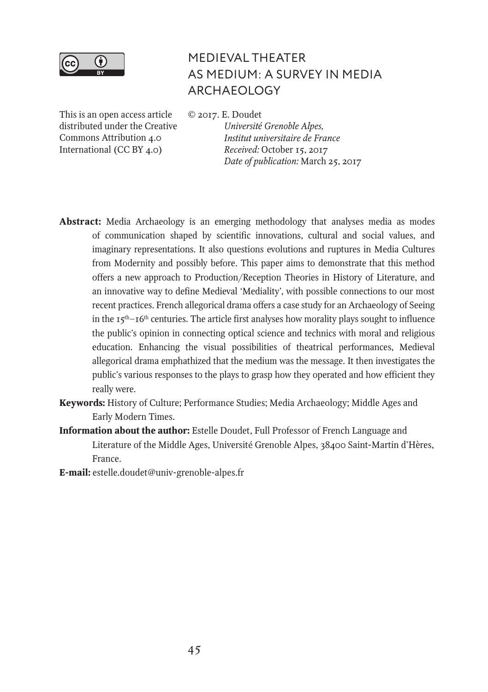

# MEDIEVAL THEATER AS MEDIUM: A SURVEY IN MEDIA ARCHAEOLOGY

© 2017. E. Doudet

This is an open access article distributed under the Creative Commons Attribution 4.0 International (CC BY 4.0)

*Université Grenoble Alpes, Institut universitaire de France Received:* October 15, 2017 *Date of publication:* March 25, 2017

- **Abstract:** Media Archaeology is an emerging methodology that analyses media as modes of communication shaped by scientific innovations, cultural and social values, and imaginary representations. It also questions evolutions and ruptures in Media Cultures from Modernity and possibly before. This paper aims to demonstrate that this method offers a new approach to Production/Reception Theories in History of Literature, and an innovative way to define Medieval 'Mediality', with possible connections to our most recent practices. French allegorical drama offers a case study for an Archaeology of Seeing in the  $15<sup>th</sup>–16<sup>th</sup>$  centuries. The article first analyses how morality plays sought to influence the public's opinion in connecting optical science and technics with moral and religious education. Enhancing the visual possibilities of theatrical performances, Medieval allegorical drama emphathized that the medium was the message. It then investigates the public's various responses to the plays to grasp how they operated and how efficient they really were.
- **Keywords:** History of Culture; Performance Studies; Media Archaeology; Middle Ages and Early Modern Times.
- **Information about the author:** Estelle Doudet, Full Professor of French Language and Literature of the Middle Ages, Université Grenoble Alpes, 38400 Saint-Martin d'Hères, France.
- **E-mail:** estelle.doudet@univ-grenoble-alpes.fr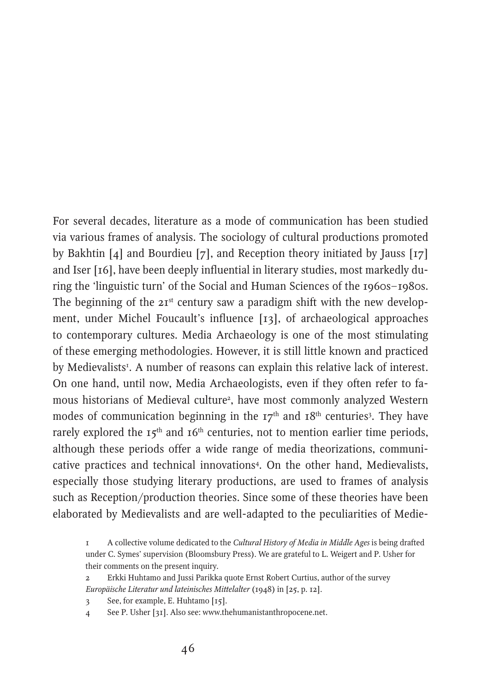For several decades, literature as a mode of communication has been studied via various frames of analysis. The sociology of cultural productions promoted by Bakhtin [4] and Bourdieu [7], and Reception theory initiated by Jauss [17] and Iser [16], have been deeply influential in literary studies, most markedly during the 'linguistic turn' of the Social and Human Sciences of the 1960s–1980s. The beginning of the  $2I<sup>st</sup>$  century saw a paradigm shift with the new development, under Michel Foucault's influence [13], of archaeological approaches to contemporary cultures. Media Archaeology is one of the most stimulating of these emerging methodologies. However, it is still little known and practiced by Medievalists<sup>1</sup>. A number of reasons can explain this relative lack of interest. On one hand, until now, Media Archaeologists, even if they often refer to famous historians of Medieval culture<sup>2</sup>, have most commonly analyzed Western modes of communication beginning in the  $17<sup>th</sup>$  and  $18<sup>th</sup>$  centuries<sup>3</sup>. They have rarely explored the  $15<sup>th</sup>$  and  $16<sup>th</sup>$  centuries, not to mention earlier time periods, although these periods offer a wide range of media theorizations, communicative practices and technical innovations4 . On the other hand, Medievalists, especially those studying literary productions, are used to frames of analysis such as Reception/production theories. Since some of these theories have been elaborated by Medievalists and are well-adapted to the peculiarities of Medie-

<sup>1</sup> A collective volume dedicated to the *Cultural History of Media in Middle Ages* is being drafted under C. Symes' supervision (Bloomsbury Press). We are grateful to L. Weigert and P. Usher for their comments on the present inquiry.

<sup>2</sup> Erkki Huhtamo and Jussi Parikka quote Ernst Robert Curtius, author of the survey *Europäische Literatur und lateinisches Mittelalter* (1948) in [25, p. 12].

<sup>3</sup> See, for example, E. Huhtamo [15].

<sup>4</sup> See P. Usher [31]. Also see: www.thehumanistanthropocene.net.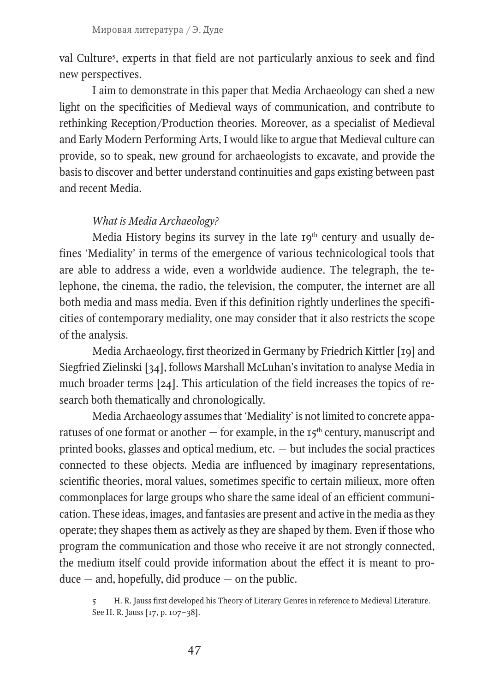val Culture5 , experts in that field are not particularly anxious to seek and find new perspectives.

I aim to demonstrate in this paper that Media Archaeology can shed a new light on the specificities of Medieval ways of communication, and contribute to rethinking Reception/Production theories. Moreover, as a specialist of Medieval and Early Modern Performing Arts, I would like to argue that Medieval culture can provide, so to speak, new ground for archaeologists to excavate, and provide the basis to discover and better understand continuities and gaps existing between past and recent Media.

#### *What is Media Archaeology?*

Media History begins its survey in the late 19<sup>th</sup> century and usually defines 'Mediality' in terms of the emergence of various technicological tools that are able to address a wide, even a worldwide audience. The telegraph, the telephone, the cinema, the radio, the television, the computer, the internet are all both media and mass media. Even if this definition rightly underlines the specificities of contemporary mediality, one may consider that it also restricts the scope of the analysis.

Media Archaeology, first theorized in Germany by Friedrich Kittler [19] and Siegfried Zielinski [34], follows Marshall McLuhan's invitation to analyse Media in much broader terms [24]. This articulation of the field increases the topics of research both thematically and chronologically.

Media Archaeology assumes that 'Mediality' is not limited to concrete apparatuses of one format or another  $-$  for example, in the  $15<sup>th</sup>$  century, manuscript and printed books, glasses and optical medium, etc. — but includes the social practices connected to these objects. Media are influenced by imaginary representations, scientific theories, moral values, sometimes specific to certain milieux, more often commonplaces for large groups who share the same ideal of an efficient communication. These ideas, images, and fantasies are present and active in the media as they operate; they shapes them as actively as they are shaped by them. Even if those who program the communication and those who receive it are not strongly connected, the medium itself could provide information about the effect it is meant to pro $duce - and$ , hopefully, did produce  $-$  on the public.

<sup>5</sup> H. R. Jauss first developed his Theory of Literary Genres in reference to Medieval Literature. See H. R. Jauss [17, p. 107–38].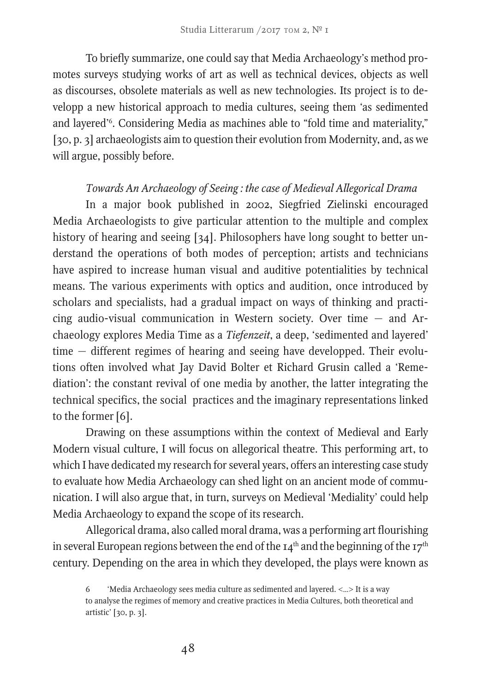To briefly summarize, one could say that Media Archaeology's method promotes surveys studying works of art as well as technical devices, objects as well as discourses, obsolete materials as well as new technologies. Its project is to developp a new historical approach to media cultures, seeing them 'as sedimented and layered'6 . Considering Media as machines able to "fold time and materiality," [30, p. 3] archaeologists aim to question their evolution from Modernity, and, as we will argue, possibly before.

## *Towards An Archaeology of Seeing : the case of Medieval Allegorical Drama*

In a major book published in 2002, Siegfried Zielinski encouraged Media Archaeologists to give particular attention to the multiple and complex history of hearing and seeing [34]. Philosophers have long sought to better understand the operations of both modes of perception; artists and technicians have aspired to increase human visual and auditive potentialities by technical means. The various experiments with optics and audition, once introduced by scholars and specialists, had a gradual impact on ways of thinking and practicing audio-visual communication in Western society. Over time — and Archaeology explores Media Time as a *Tiefenzeit*, a deep, 'sedimented and layered' time — different regimes of hearing and seeing have developped. Their evolutions often involved what Jay David Bolter et Richard Grusin called a 'Remediation': the constant revival of one media by another, the latter integrating the technical specifics, the social practices and the imaginary representations linked to the former [6].

Drawing on these assumptions within the context of Medieval and Early Modern visual culture, I will focus on allegorical theatre. This performing art, to which I have dedicated my research for several years, offers an interesting case study to evaluate how Media Archaeology can shed light on an ancient mode of communication. I will also argue that, in turn, surveys on Medieval 'Mediality' could help Media Archaeology to expand the scope of its research.

Allegorical drama, also called moral drama, was a performing art flourishing in several European regions between the end of the  $I4<sup>th</sup>$  and the beginning of the  $I7<sup>th</sup>$ century. Depending on the area in which they developed, the plays were known as

<sup>6 &#</sup>x27;Media Archaeology sees media culture as sedimented and layered. <…> It is a way to analyse the regimes of memory and creative practices in Media Cultures, both theoretical and artistic' [30, p. 3].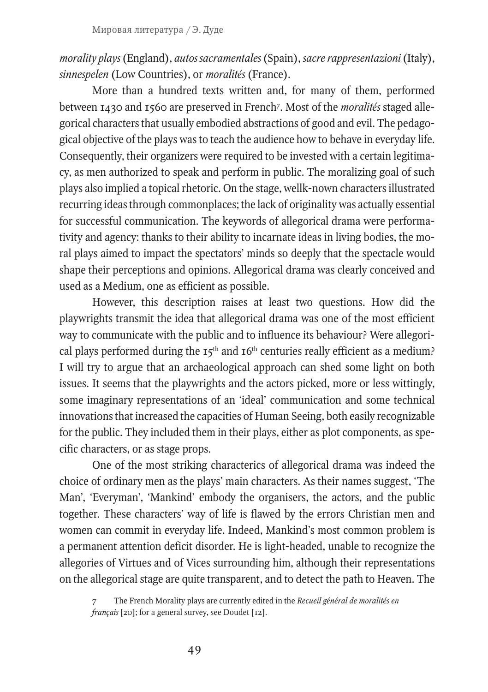*morality plays* (England), *autos sacramentales* (Spain), *sacre rappresentazioni* (Italy), *sinnespelen* (Low Countries), or *moralités* (France).

More than a hundred texts written and, for many of them, performed between 1430 and 1560 are preserved in French7 . Most of the *moralités* staged allegorical characters that usually embodied abstractions of good and evil. The pedagogical objective of the plays was to teach the audience how to behave in everyday life. Consequently, their organizers were required to be invested with a certain legitimacy, as men authorized to speak and perform in public. The moralizing goal of such plays also implied a topical rhetoric. On the stage, wellk-nown characters illustrated recurring ideas through commonplaces; the lack of originality was actually essential for successful communication. The keywords of allegorical drama were performativity and agency: thanks to their ability to incarnate ideas in living bodies, the moral plays aimed to impact the spectators' minds so deeply that the spectacle would shape their perceptions and opinions. Allegorical drama was clearly conceived and used as a Medium, one as efficient as possible.

However, this description raises at least two questions. How did the playwrights transmit the idea that allegorical drama was one of the most efficient way to communicate with the public and to influence its behaviour? Were allegorical plays performed during the  $15<sup>th</sup>$  and  $16<sup>th</sup>$  centuries really efficient as a medium? I will try to argue that an archaeological approach can shed some light on both issues. It seems that the playwrights and the actors picked, more or less wittingly, some imaginary representations of an 'ideal' communication and some technical innovations that increased the capacities of Human Seeing, both easily recognizable for the public. They included them in their plays, either as plot components, as specific characters, or as stage props.

One of the most striking characterics of allegorical drama was indeed the choice of ordinary men as the plays' main characters. As their names suggest, 'The Man', 'Everyman', 'Mankind' embody the organisers, the actors, and the public together. These characters' way of life is flawed by the errors Christian men and women can commit in everyday life. Indeed, Mankind's most common problem is a permanent attention deficit disorder. He is light-headed, unable to recognize the allegories of Virtues and of Vices surrounding him, although their representations on the allegorical stage are quite transparent, and to detect the path to Heaven. The

<sup>7</sup> The French Morality plays are currently edited in the *Recueil général de moralités en français* [20]; for a general survey, see Doudet [12].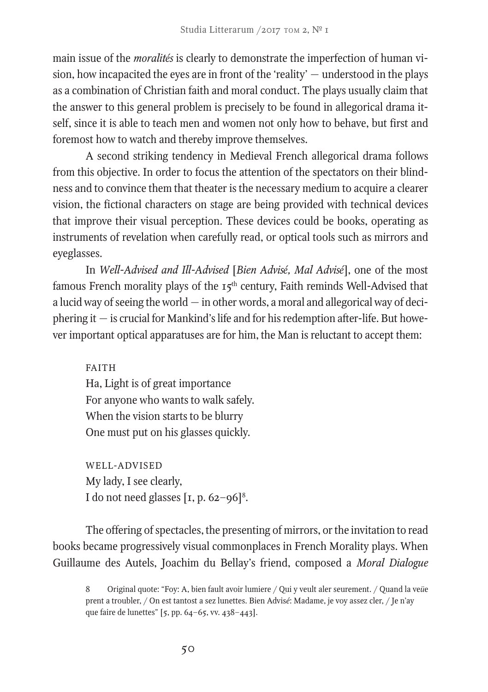main issue of the *moralités* is clearly to demonstrate the imperfection of human vision, how incapacited the eyes are in front of the 'reality' — understood in the plays as a combination of Christian faith and moral conduct. The plays usually claim that the answer to this general problem is precisely to be found in allegorical drama itself, since it is able to teach men and women not only how to behave, but first and foremost how to watch and thereby improve themselves.

A second striking tendency in Medieval French allegorical drama follows from this objective. In order to focus the attention of the spectators on their blindness and to convince them that theater is the necessary medium to acquire a clearer vision, the fictional characters on stage are being provided with technical devices that improve their visual perception. These devices could be books, operating as instruments of revelation when carefully read, or optical tools such as mirrors and eyeglasses.

In *Well-Advised and Ill-Advised* [*Bien Advisé, Mal Advisé*], one of the most famous French morality plays of the  $I_5$ <sup>th</sup> century, Faith reminds Well-Advised that a lucid way of seeing the world — in other words, a moral and allegorical way of deciphering it — is crucial for Mankind's life and for his redemption after-life. But however important optical apparatuses are for him, the Man is reluctant to accept them:

FAITH Ha, Light is of great importance For anyone who wants to walk safely. When the vision starts to be blurry One must put on his glasses quickly.

WELL-ADVISED My lady, I see clearly, I do not need glasses  $[x, p. 62 - 96]^8$ .

The offering of spectacles, the presenting of mirrors, or the invitation to read books became progressively visual commonplaces in French Morality plays. When Guillaume des Autels, Joachim du Bellay's friend, composed a *Moral Dialogue* 

<sup>8</sup> Original quote: "Foy: A, bien fault avoir lumiere / Qui y veult aler seurement. / Quand la ve*ü*e prent a troubler, / On est tantost a sez lunettes. Bien Advis*é*: Madame, je voy assez cler, / Je n'ay que faire de lunettes" [5, pp. 64–65, vv. 438–443].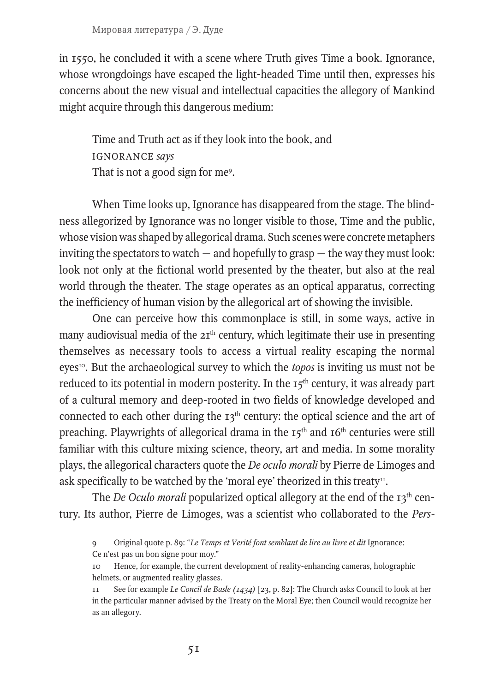in 1550, he concluded it with a scene where Truth gives Time a book. Ignorance, whose wrongdoings have escaped the light-headed Time until then, expresses his concerns about the new visual and intellectual capacities the allegory of Mankind might acquire through this dangerous medium:

Time and Truth act as if they look into the book, and IGNORANCE *says* That is not a good sign for me<sup>9</sup>.

When Time looks up, Ignorance has disappeared from the stage. The blindness allegorized by Ignorance was no longer visible to those, Time and the public, whose vision was shaped by allegorical drama. Such scenes were concrete metaphers inviting the spectators to watch  $-$  and hopefully to grasp  $-$  the way they must look: look not only at the fictional world presented by the theater, but also at the real world through the theater. The stage operates as an optical apparatus, correcting the inefficiency of human vision by the allegorical art of showing the invisible.

One can perceive how this commonplace is still, in some ways, active in many audiovisual media of the  $2I<sup>th</sup>$  century, which legitimate their use in presenting themselves as necessary tools to access a virtual reality escaping the normal eyes<sup>10</sup>. But the archaeological survey to which the *topos* is inviting us must not be reduced to its potential in modern posterity. In the  $I_5<sup>th</sup>$  century, it was already part of a cultural memory and deep-rooted in two fields of knowledge developed and connected to each other during the  $13<sup>th</sup>$  century: the optical science and the art of preaching. Playwrights of allegorical drama in the  $15<sup>th</sup>$  and  $16<sup>th</sup>$  centuries were still familiar with this culture mixing science, theory, art and media. In some morality plays, the allegorical characters quote the *De oculo morali* by Pierre de Limoges and ask specifically to be watched by the 'moral eye' theorized in this treaty<sup>11</sup>.

The *De Oculo morali* popularized optical allegory at the end of the 13th century. Its author, Pierre de Limoges, was a scientist who collaborated to the *Pers-*

9 Original quote p. 89: "*Le Temps et Verité font semblant de lire au livre et dit* Ignorance: Ce n'est pas un bon signe pour moy."

10 Hence, for example, the current development of reality-enhancing cameras, holographic helmets, or augmented reality glasses.

11 See for example *Le Concil de Basle (1434)* [23, p. 82]: The Church asks Council to look at her in the particular manner advised by the Treaty on the Moral Eye; then Council would recognize her as an allegory.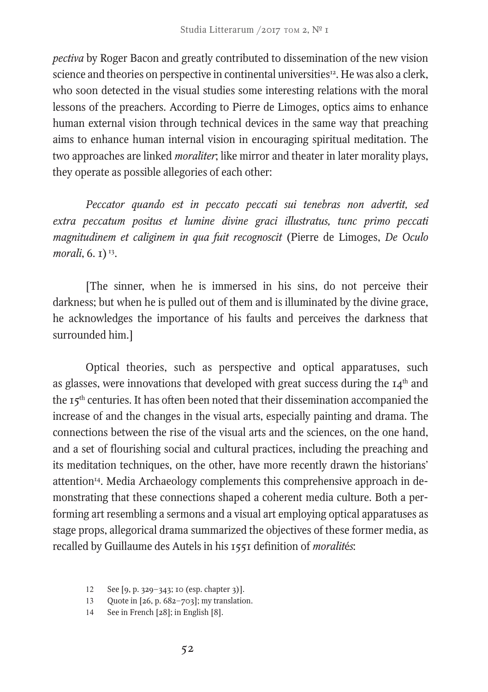*pectiva* by Roger Bacon and greatly contributed to dissemination of the new vision science and theories on perspective in continental universities<sup>12</sup>. He was also a clerk, who soon detected in the visual studies some interesting relations with the moral lessons of the preachers. According to Pierre de Limoges, optics aims to enhance human external vision through technical devices in the same way that preaching aims to enhance human internal vision in encouraging spiritual meditation. The two approaches are linked *moraliter*; like mirror and theater in later morality plays, they operate as possible allegories of each other:

*Peccator quando est in peccato peccati sui tenebras non advertit, sed extra peccatum positus et lumine divine graci illustratus, tunc primo peccati magnitudinem et caliginem in qua fuit recognoscit* (Pierre de Limoges, *De Oculo morali*, 6. 1)<sup>13</sup>.

[The sinner, when he is immersed in his sins, do not perceive their darkness; but when he is pulled out of them and is illuminated by the divine grace, he acknowledges the importance of his faults and perceives the darkness that surrounded him.]

Optical theories, such as perspective and optical apparatuses, such as glasses, were innovations that developed with great success during the  $I_4$ <sup>th</sup> and the 15th centuries. It has often been noted that their dissemination accompanied the increase of and the changes in the visual arts, especially painting and drama. The connections between the rise of the visual arts and the sciences, on the one hand, and a set of flourishing social and cultural practices, including the preaching and its meditation techniques, on the other, have more recently drawn the historians' attention<sup>14</sup>. Media Archaeology complements this comprehensive approach in demonstrating that these connections shaped a coherent media culture. Both a performing art resembling a sermons and a visual art employing optical apparatuses as stage props, allegorical drama summarized the objectives of these former media, as recalled by Guillaume des Autels in his 1551 definition of *moralit*é*s*:

- 13 Quote in [26, p. 682–703]; my translation.
- 14 See in French [28]; in English [8].

<sup>12</sup> See [9, p. 329–343; 10 (esp. chapter 3)].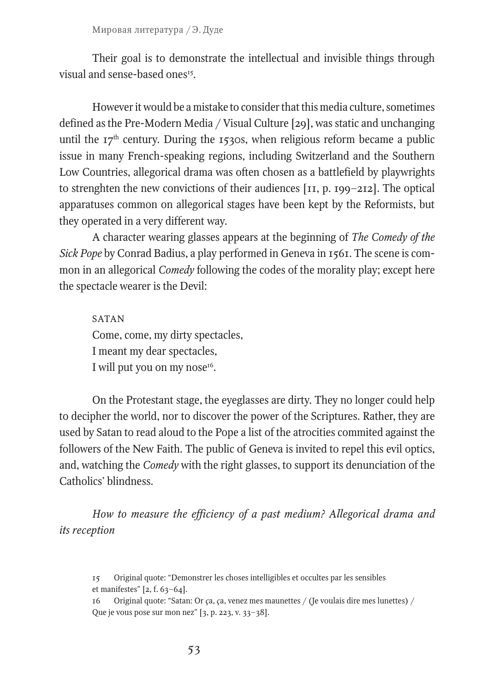Their goal is to demonstrate the intellectual and invisible things through visual and sense-based ones<sup>15</sup>

However it would be a mistake to consider that this media culture, sometimes defined as the Pre-Modern Media / Visual Culture [29], was static and unchanging until the  $17<sup>th</sup>$  century. During the 1530s, when religious reform became a public issue in many French-speaking regions, including Switzerland and the Southern Low Countries, allegorical drama was often chosen as a battlefield by playwrights to strenghten the new convictions of their audiences [11, p. 199–212]. The optical apparatuses common on allegorical stages have been kept by the Reformists, but they operated in a very different way.

A character wearing glasses appears at the beginning of *The Comedy of the Sick Pope* by Conrad Badius, a play performed in Geneva in 1561. The scene is common in an allegorical *Comedy* following the codes of the morality play; except here the spectacle wearer is the Devil:

SATAN Come, come, my dirty spectacles, I meant my dear spectacles, I will put you on my nose<sup>16</sup>.

On the Protestant stage, the eyeglasses are dirty. They no longer could help to decipher the world, nor to discover the power of the Scriptures. Rather, they are used by Satan to read aloud to the Pope a list of the atrocities commited against the followers of the New Faith. The public of Geneva is invited to repel this evil optics, and, watching the *Comedy* with the right glasses, to support its denunciation of the Catholics' blindness.

*How to measure the efficiency of a past medium? Allegorical drama and its reception*

- 15 Original quote: "Demonstrer les choses intelligibles et occultes par les sensibles et manifestes" [2, f. 63–64].
- 16 Original quote: "Satan: Or *ç*a, *ç*a, venez mes maunettes / (Je voulais dire mes lunettes) / Que je vous pose sur mon nez" [3, p. 223, v. 33–38].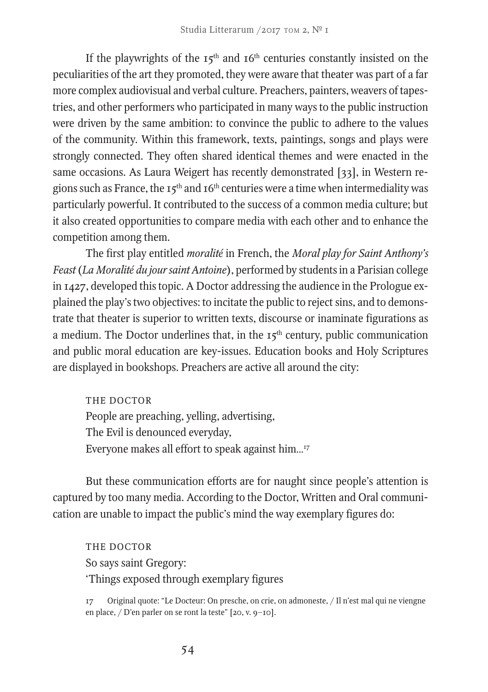If the playwrights of the  $15<sup>th</sup>$  and  $16<sup>th</sup>$  centuries constantly insisted on the peculiarities of the art they promoted, they were aware that theater was part of a far more complex audiovisual and verbal culture. Preachers, painters, weavers of tapestries, and other performers who participated in many ways to the public instruction were driven by the same ambition: to convince the public to adhere to the values of the community. Within this framework, texts, paintings, songs and plays were strongly connected. They often shared identical themes and were enacted in the same occasions. As Laura Weigert has recently demonstrated [33], in Western regions such as France, the 15<sup>th</sup> and 16<sup>th</sup> centuries were a time when intermediality was particularly powerful. It contributed to the success of a common media culture; but it also created opportunities to compare media with each other and to enhance the competition among them.

The first play entitled *moralité* in French, the *Moral play for Saint Anthony's Feast* (*La Moralité du jour saint Antoine*), performed by students in a Parisian college in 1427, developed this topic. A Doctor addressing the audience in the Prologue explained the play's two objectives: to incitate the public to reject sins, and to demonstrate that theater is superior to written texts, discourse or inaminate figurations as a medium. The Doctor underlines that, in the  $15<sup>th</sup>$  century, public communication and public moral education are key-issues. Education books and Holy Scriptures are displayed in bookshops. Preachers are active all around the city:

THE DOCTOR People are preaching, yelling, advertising, The Evil is denounced everyday, Everyone makes all effort to speak against him…17

But these communication efforts are for naught since people's attention is captured by too many media. According to the Doctor, Written and Oral communication are unable to impact the public's mind the way exemplary figures do:

THE DOCTOR So says saint Gregory: 'Things exposed through exemplary figures

17 Original quote: "Le Docteur: On presche, on crie, on admoneste, / Il n'est mal qui ne viengne en place, / D'en parler on se ront la teste" [20, v. 9–10].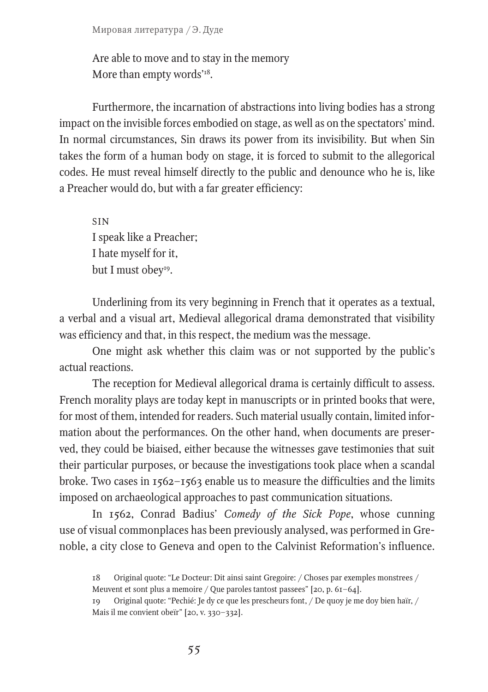Are able to move and to stay in the memory More than empty words'<sup>18</sup>.

Furthermore, the incarnation of abstractions into living bodies has a strong impact on the invisible forces embodied on stage, as well as on the spectators' mind. In normal circumstances, Sin draws its power from its invisibility. But when Sin takes the form of a human body on stage, it is forced to submit to the allegorical codes. He must reveal himself directly to the public and denounce who he is, like a Preacher would do, but with a far greater efficiency:

SIN I speak like a Preacher; I hate myself for it, but I must obey<sup>19</sup>.

Underlining from its very beginning in French that it operates as a textual, a verbal and a visual art, Medieval allegorical drama demonstrated that visibility was efficiency and that, in this respect, the medium was the message.

One might ask whether this claim was or not supported by the public's actual reactions.

The reception for Medieval allegorical drama is certainly difficult to assess. French morality plays are today kept in manuscripts or in printed books that were, for most of them, intended for readers. Such material usually contain, limited information about the performances. On the other hand, when documents are preserved, they could be biaised, either because the witnesses gave testimonies that suit their particular purposes, or because the investigations took place when a scandal broke. Two cases in 1562–1563 enable us to measure the difficulties and the limits imposed on archaeological approaches to past communication situations.

In 1562, Conrad Badius' *Comedy of the Sick Pope*, whose cunning use of visual commonplaces has been previously analysed, was performed in Grenoble, a city close to Geneva and open to the Calvinist Reformation's influence.

<sup>18</sup> Original quote: "Le Docteur: Dit ainsi saint Gregoire: / Choses par exemples monstrees / Meuvent et sont plus a memoire / Que paroles tantost passees" [20, p. 61–64].

<sup>19</sup> Original quote: "Pechié: Je dy ce que les prescheurs font, / De quoy je me doy bien haïr, / Mais il me convient obeïr" [20, v. 330–332].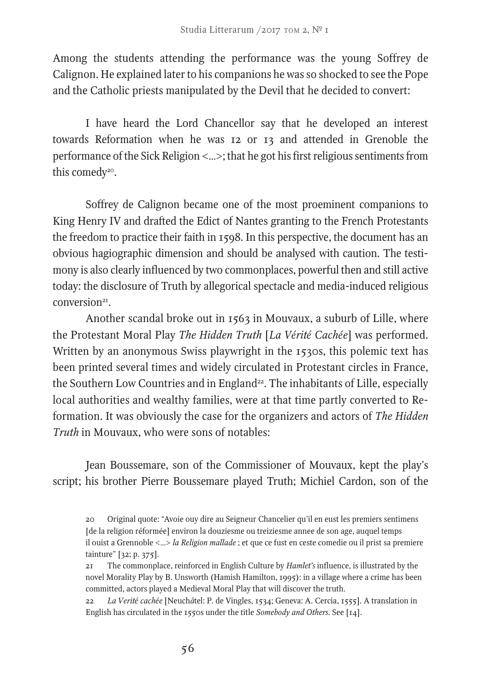Among the students attending the performance was the young Soffrey de Calignon. He explained later to his companions he was so shocked to see the Pope and the Catholic priests manipulated by the Devil that he decided to convert:

I have heard the Lord Chancellor say that he developed an interest towards Reformation when he was 12 or 13 and attended in Grenoble the performance of the Sick Religion <…>; that he got his first religious sentiments from this comedy<sup>20</sup>.

Soffrey de Calignon became one of the most proeminent companions to King Henry IV and drafted the Edict of Nantes granting to the French Protestants the freedom to practice their faith in 1598. In this perspective, the document has an obvious hagiographic dimension and should be analysed with caution. The testimony is also clearly influenced by two commonplaces, powerful then and still active today: the disclosure of Truth by allegorical spectacle and media-induced religious  $conversion<sup>21</sup>$ 

Another scandal broke out in 1563 in Mouvaux, a suburb of Lille, where the Protestant Moral Play *The Hidden Truth* [*La Vérité Cachée*] was performed. Written by an anonymous Swiss playwright in the 1530s, this polemic text has been printed several times and widely circulated in Protestant circles in France, the Southern Low Countries and in England<sup>22</sup>. The inhabitants of Lille, especially local authorities and wealthy families, were at that time partly converted to Reformation. It was obviously the case for the organizers and actors of *The Hidden Truth* in Mouvaux, who were sons of notables:

Jean Boussemare, son of the Commissioner of Mouvaux, kept the play's script; his brother Pierre Boussemare played Truth; Michiel Cardon, son of the

22 *La Verité cachée* [Neuch*â*tel: P. de Vingles, 1534; Geneva: A. Cercia, 1555]. A translation in English has circulated in the 1550s under the title *Somebody and Others*. See [14].

<sup>20</sup> Original quote: "Avoie ouy dire au Seigneur Chancelier qu'il en eust les premiers sentimens [de la religion réformée] environ la douziesme ou treiziesme annee de son age, auquel temps il ouist a Grennoble <…> *la Religion mallade* ; et que ce fust en ceste comedie ou il prist sa premiere tainture" [32; p. 375].

<sup>21</sup> The commonplace, reinforced in English Culture by *Hamlet's* influence, is illustrated by the novel Morality Play by B. Unsworth (Hamish Hamilton, 1995): in a village where a crime has been committed, actors played a Medieval Moral Play that will discover the truth.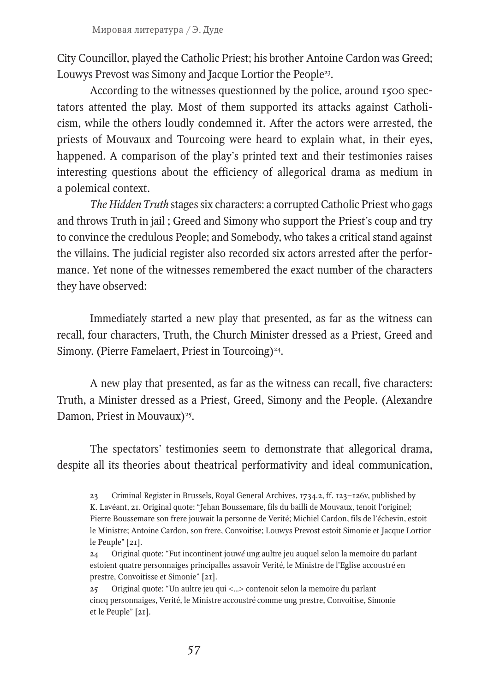City Councillor, played the Catholic Priest; his brother Antoine Cardon was Greed; Louwys Prevost was Simony and Jacque Lortior the People<sup>23</sup>.

According to the witnesses questionned by the police, around 1500 spectators attented the play. Most of them supported its attacks against Catholicism, while the others loudly condemned it. After the actors were arrested, the priests of Mouvaux and Tourcoing were heard to explain what, in their eyes, happened. A comparison of the play's printed text and their testimonies raises interesting questions about the efficiency of allegorical drama as medium in a polemical context.

*The Hidden Truth* stages six characters: a corrupted Catholic Priest who gags and throws Truth in jail ; Greed and Simony who support the Priest's coup and try to convince the credulous People; and Somebody, who takes a critical stand against the villains. The judicial register also recorded six actors arrested after the performance. Yet none of the witnesses remembered the exact number of the characters they have observed:

Immediately started a new play that presented, as far as the witness can recall, four characters, Truth, the Church Minister dressed as a Priest, Greed and Simony. (Pierre Famelaert, Priest in Tourcoing)<sup>24</sup>.

A new play that presented, as far as the witness can recall, five characters: Truth, a Minister dressed as a Priest, Greed, Simony and the People. (Alexandre Damon, Priest in Mouvaux)<sup>25</sup>.

The spectators' testimonies seem to demonstrate that allegorical drama, despite all its theories about theatrical performativity and ideal communication,

<sup>23</sup> Criminal Register in Brussels, Royal General Archives, 1734.2, ff. 123–126v, published by K. Lavéant, 21. Original quote: "Jehan Boussemare, fils du bailli de Mouvaux, tenoit l'originel; Pierre Boussemare son frere jouwait la personne de Verité; Michiel Cardon, fils de l'échevin, estoit le Ministre; Antoine Cardon, son frere, Convoitise; Louwys Prevost estoit Simonie et Jacque Lortior le Peuple" [21].

<sup>24</sup> Original quote: "Fut incontinent jouw*é* ung aultre jeu auquel selon la memoire du parlant estoient quatre personnaiges principalles assavoir Verité, le Ministre de l'Eglise accoustré en prestre, Convoitisse et Simonie" [21].

<sup>25</sup> Original quote: "Un aultre jeu qui <…> contenoit selon la memoire du parlant cincq personnaiges, Verité, le Ministre accoustré comme ung prestre, Convoitise, Simonie et le Peuple" [21].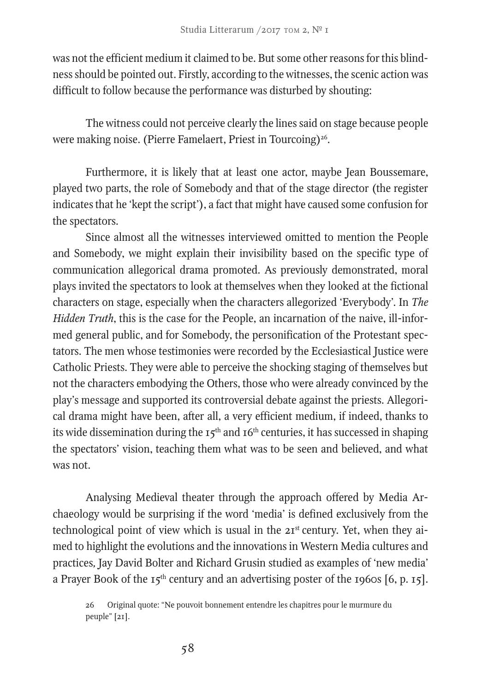was not the efficient medium it claimed to be. But some other reasons for this blindness should be pointed out. Firstly, according to the witnesses, the scenic action was difficult to follow because the performance was disturbed by shouting:

The witness could not perceive clearly the lines said on stage because people were making noise. (Pierre Famelaert, Priest in Tourcoing)<sup>26</sup>.

Furthermore, it is likely that at least one actor, maybe Jean Boussemare, played two parts, the role of Somebody and that of the stage director (the register indicates that he 'kept the script'), a fact that might have caused some confusion for the spectators.

Since almost all the witnesses interviewed omitted to mention the People and Somebody, we might explain their invisibility based on the specific type of communication allegorical drama promoted. As previously demonstrated, moral plays invited the spectators to look at themselves when they looked at the fictional characters on stage, especially when the characters allegorized 'Everybody'. In *The Hidden Truth*, this is the case for the People, an incarnation of the naive, ill-informed general public, and for Somebody, the personification of the Protestant spectators. The men whose testimonies were recorded by the Ecclesiastical Justice were Catholic Priests. They were able to perceive the shocking staging of themselves but not the characters embodying the Others, those who were already convinced by the play's message and supported its controversial debate against the priests. Allegorical drama might have been, after all, a very efficient medium, if indeed, thanks to its wide dissemination during the  $I_5$ <sup>th</sup> and  $I_6$ <sup>th</sup> centuries, it has successed in shaping the spectators' vision, teaching them what was to be seen and believed, and what was not.

Analysing Medieval theater through the approach offered by Media Archaeology would be surprising if the word 'media' is defined exclusively from the technological point of view which is usual in the 21<sup>st</sup> century. Yet, when they aimed to highlight the evolutions and the innovations in Western Media cultures and practices*,* Jay David Bolter and Richard Grusin studied as examples of 'new media' a Prayer Book of the  $15<sup>th</sup>$  century and an advertising poster of the 1960s [6, p. 15].

26 Original quote: "Ne pouvoit bonnement entendre les chapitres pour le murmure du peuple" [21].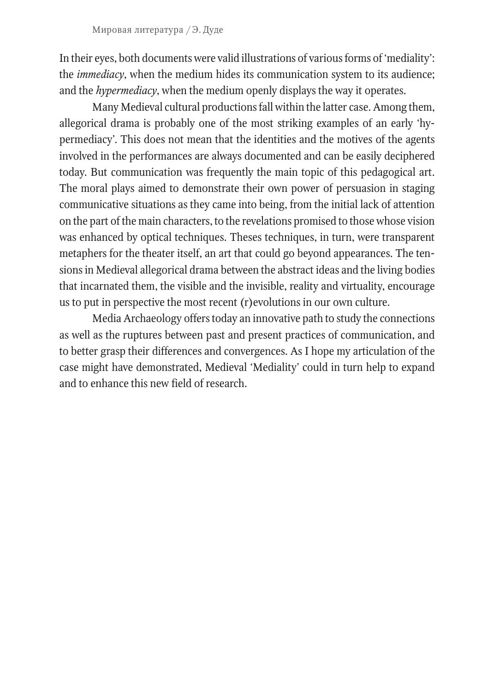In their eyes, both documents were valid illustrations of various forms of 'mediality': the *immediacy*, when the medium hides its communication system to its audience; and the *hypermediacy*, when the medium openly displays the way it operates.

Many Medieval cultural productions fall within the latter case. Among them, allegorical drama is probably one of the most striking examples of an early 'hypermediacy'. This does not mean that the identities and the motives of the agents involved in the performances are always documented and can be easily deciphered today. But communication was frequently the main topic of this pedagogical art. The moral plays aimed to demonstrate their own power of persuasion in staging communicative situations as they came into being, from the initial lack of attention on the part of the main characters, to the revelations promised to those whose vision was enhanced by optical techniques. Theses techniques, in turn, were transparent metaphers for the theater itself, an art that could go beyond appearances. The tensions in Medieval allegorical drama between the abstract ideas and the living bodies that incarnated them, the visible and the invisible, reality and virtuality, encourage us to put in perspective the most recent (r)evolutions in our own culture.

Media Archaeology offers today an innovative path to study the connections as well as the ruptures between past and present practices of communication, and to better grasp their differences and convergences. As I hope my articulation of the case might have demonstrated, Medieval 'Mediality' could in turn help to expand and to enhance this new field of research.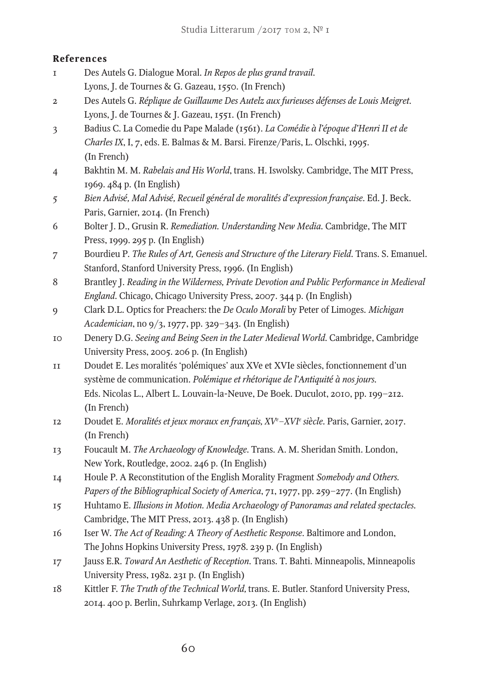## **References**

- 1 Des Autels G. Dialogue Moral. *In Repos de plus grand travail*. Lyons, J. de Tournes & G. Gazeau, 1550. (In French)
- 2 Des Autels G. *Réplique de Guillaume Des Autelz aux furieuses défenses de Louis Meigret*. Lyons, J. de Tournes & J. Gazeau, 1551. (In French)
- 3 Badius C. La Comedie du Pape Malade (1561). *La Comédie à l'époque d'Henri II et de Charles IX*, I, 7, eds. E. Balmas & M. Barsi. Firenze/Paris, L. Olschki, 1995. (In French)
- 4 Bakhtin M. M. *Rabelais and His World*, trans. H. Iswolsky. Cambridge, The MIT Press, 1969. 484 p. (In English)
- 5 *Bien Advisé, Mal Advisé, Recueil général de moralités d'expression française*. Ed. J. Beck. Paris, Garnier, 2014. (In French)
- 6 Bolter J. D., Grusin R. *Remediation. Understanding New Media*. Cambridge, The MIT Press, 1999. 295 p. (In English)
- 7 Bourdieu P. *The Rules of Art, Genesis and Structure of the Literary Field*. Trans. S. Emanuel. Stanford, Stanford University Press, 1996. (In English)
- 8 Brantley J. *Reading in the Wilderness, Private Devotion and Public Performance in Medieval England*. Chicago, Chicago University Press, 2007. 344 p. (In English)
- 9 Clark D.L. Optics for Preachers: the *De Oculo Morali* by Peter of Limoges. *Michigan Academician*, no 9/3, 1977, pp. 329–343. (In English)
- 10 Denery D.G. *Seeing and Being Seen in the Later Medieval World*. Cambridge, Cambridge University Press, 2005. 206 p. (In English)
- 11 Doudet E. Les moralités 'polémiques' aux XVe et XVIe siècles, fonctionnement d'un système de communication. *Polémique et rhétorique de l'Antiquité à nos jours*. Eds. Nicolas L., Albert L. Louvain-la-Neuve, De Boek. Duculot, 2010, pp. 199–212. (In French)
- 12 Doudet E. *Moralités et jeux moraux en français, XVe –XVIe siècle*. Paris, Garnier, 2017. (In French)
- 13 Foucault M. *The Archaeology of Knowledge*. Trans. A. M. Sheridan Smith. London, New York, Routledge, 2002. 246 p. (In English)
- 14 Houle P. A Reconstitution of the English Morality Fragment *Somebody and Others. Papers of the Bibliographical Society of America*, 71, 1977, pp. 259–277. (In English)
- 15 Huhtamo E. *Illusions in Motion. Media Archaeology of Panoramas and related spectacles*. Cambridge, The MIT Press, 2013. 438 p. (In English)
- 16 Iser W. *The Act of Reading: A Theory of Aesthetic Response*. Baltimore and London, The Johns Hopkins University Press, 1978. 239 p. (In English)
- 17 Jauss E.R. *Toward An Aesthetic of Reception*. Trans. T. Bahti. Minneapolis, Minneapolis University Press, 1982. 231 p. (In English)
- 18 Kittler F. *The Truth of the Technical World,* trans. E. Butler. Stanford University Press, 2014. 400 p. Berlin, Suhrkamp Verlage, 2013. (In English)